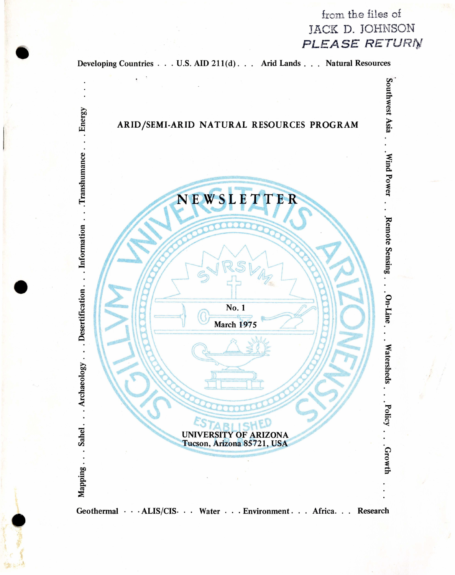



•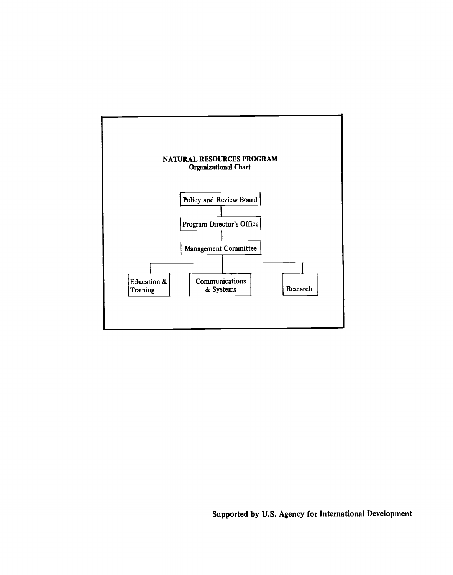

# Supported by U.S. Agency for International Development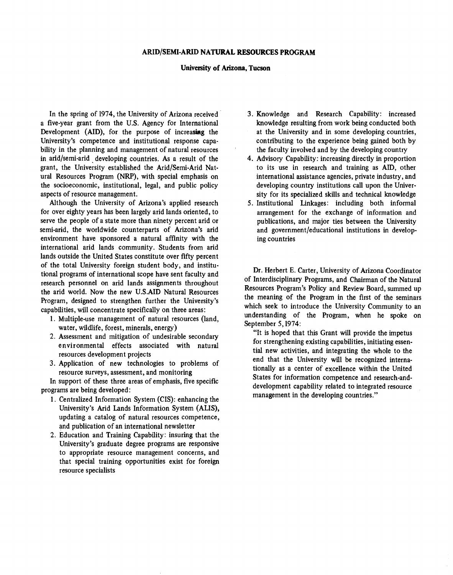#### ARID/SEMI-ARID NATURAL RESOURCES PROGRAM

#### University of Arizona, Tucson

In the spring of 1974, the University of Arizona received a five -year grant from the U.S. Agency for International Development (AID), for the purpose of increasing the University's competence and institutional response capability in the planning and management of natural resources in arid/semi-arid developing countries. As a result of the grant, the University established the Arid/Semi-Arid Natural Resources Program (NRP), with special emphasis on the socioeconomic, institutional, legal, and public policy aspects of resource management.

Although the University of Arizona's applied research for over eighty years has been largely arid lands oriented, to serve the people of a state more than ninety percent arid or semi-arid, the worldwide counterparts of Arizona's arid environment have sponsored a natural affinity with the international arid lands community. Students from arid lands outside the United States constitute over fifty percent of the total University foreign student body, and institutional programs of international scope have sent faculty and research personnel on arid lands assignments throughout the arid world. Now the new U.S.AID Natural Resources Program, designed to strengthen further the University's capabilities, will concentrate specifically on three areas:

- 1. Multiple -use management of natural resources (land, water, wildlife, forest, minerals, energy)
- 2. Assessment and mitigation of undesirable secondary environmental effects associated with natural resources development projects
- 3. Application of new technologies to problems of resource surveys, assessment, and monitoring

In support of these three areas of emphasis, five specific programs are being developed:

- 1. Centralized Information System (CIS): enhancing the University's Arid Lands Information System (ALIS), updating a catalog of natural resources competence, and publication of an international newsletter
- 2. Education and Training Capability: insuring that the University's graduate degree programs are responsive to appropriate resource management concerns, and that special training opportunities exist for foreign resource specialists
- 3. Knowledge and Research Capability: increased knowledge resulting from work being conducted both at the University and in some developing countries, contributing to the experience being gained both by the faculty involved and by the developing country
- 4. Advisory Capability: increasing directly in proportion to its use in research and training as AID, other international assistance agencies, private industry, and developing country institutions call upon the University for its specialized skills and technical knowledge
- 5. Institutional Linkages: including both informal arrangement for the exchange of information and publications, and major ties between the University and government /educational institutions in developing countries

Dr. Herbert E. Carter, University of Arizona Coordinator of Interdisciplinary Programs, and Chairman of the Natural Resources Program's Policy and Review Board, summed up the meaning of the Program in the first of the seminars which seek to introduce the University Community to an understanding of the Program, when he spoke on September 5,1974:

"It is hoped that this Grant will provide the impetus for strengthening existing capabilities, initiating essential new activities, and integrating the whole to the end that the University will be recognized internationally as a center of excellence within the United States for information competence and research -anddevelopment capability related to integrated resource management in the developing countries."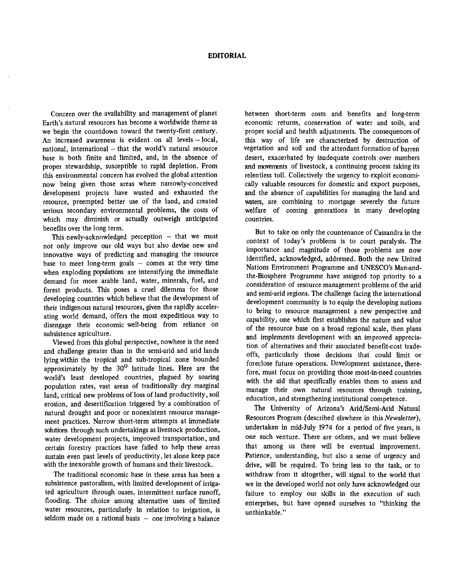Concern over the availability and management of planet Earth's natural resources has become a worldwide theme as we begin the countdown toward the twenty -first century. An increased awareness is evident on all levels - local, national, international - that the world's natural resource base is both finite and limited, and, in the absence of proper stewardship, susceptible to rapid depletion. From this environmental concern has evolved the global attention now being given those areas where narrowly-conceived development projects have wasted and exhausted the resource, preempted better use of the land, and created serious secondary environmental problems, the costs of which may diminish or actually outweigh anticipated benefits over the long term.

This newly-acknowledged perception  $-$  that we must not only improve our old ways but also devise new and innovative ways of predicting and managing the resource base to meet long-term goals  $-$  comes at the very time when exploding populations are intensifying the immediate demand for more arable land, water, minerals, fuel, and forest products. This poses a cruel dilemma for those developing countries which believe that the development of their indigenous natural resources, given the rapidly accelerating world demand, offers the most expeditious way to disengage their economic well -being from reliance on subsistence agriculture.

Viewed from this global perspective, nowhere is the need and challenge greater than in the semi-arid and arid lands lying,within the tropical and sub -tropical zone bounded approximately by the 30° latitude lines. Here are the world's least developed countries, plagued by soaring population rates, vast areas of traditionally dry marginal land, critical new problems of loss of land productivity, soil erosion, and desertification triggered by a combination of natural drought and poor or nonexistent resource management practices. Narrow short -term attempts at immediate solutions through such undertakings as livestock production, water development projects, improved transportation, and certain forestry practices have failed to help these areas sustain even past levels of productivity, let alone keep pace with the inexorable growth of humans and their livestock.

The traditional economic base in these areas has been a subsistence pastoralism, with limited development of irrigated agriculture through oases, intermittent surface runoff, flooding. The choice among alternative uses of limited water resources, particularly in relation to irrigation, is seldom made on a rational basis  $-$  one involving a balance

between short-term costs and benefits and long-term economic returns, conservation of water and soils, and proper social and health adjustments. The consequences of this way of life are characterized by destruction of vegetation and soil and the attendant formation of barren desert, exacerbated by inadequate controls over numbers and movements of livestock, a continuing process taking its relentless toll. Collectively the urgency to exploit economically valuable resources for domestic and export purposes, and the absence of capabilities for managing the land and waters, are combining to mortgage severely the future welfare of coming generations in many developing countries.

But to take on only the countenance of Cassandra in the context of today's problems is to court paralysis. The importance and magnitude of those problems are now identified, acknowledged, addressed. Both the new United Nations Environment Programme and UNESCO's Man -andthe- Biosphere Programme have assigned top priority to a consideration of resource management problems of the arid and semi-arid regions. The challenge facing the international development community is to equip the developing nations to bring to resource management a new perspective and capability, one which first establishes the nature and value of the resource base on a broad regional scale, then plans and implements development with an improved appreciation of alternatives and their associated benefit-cost tradeoffs, particularly those decisions that could limit or foreclose future operations. Development assistance, therefore, must focus on providing those most-in-need countries with the aid that specifically enables them to assess and manage their own natural resources through training, education, and strengthening institutional competence.

The University of Arizona's Arid/Semi-Arid Natural Resources Program (described elswhere in this Newsletter), undertaken in mid-July 1974 for a period of five years, is one such venture. There are others, and we must believe that among us there will be eventual improvement. Patience, understanding, but also a sense of urgency and drive, will be required. To bring less to the task, or to withdraw from it altogether, will signal to the world that we in the developed world not only have acknowledged our failure to employ our skills in the execution of such enterprises, but have opened ourselves to "thinking the unthinkable."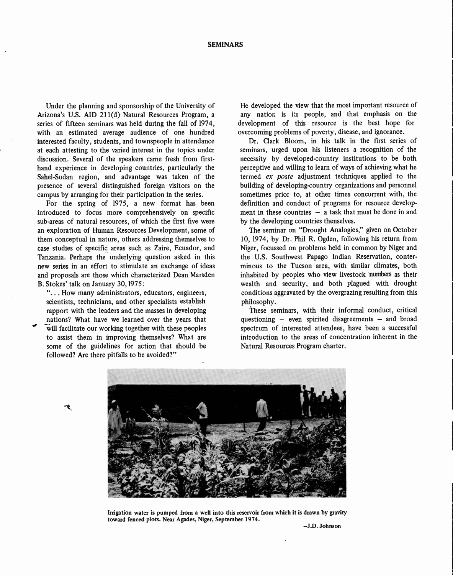Under the planning and sponsorship of the University of Arizona's U.S. AID 211(d) Natural Resources Program, a series of fifteen seminars was held during the fall of 1974, with an estimated average audience of one hundred interested faculty, students, and townspeople in attendance at each attesting to the varied interest in the topics under discussion. Several of the speakers came fresh from firsthand experience in developing countries, particularly the Sahel -Sudan region, and advantage was taken of the presence of several distinguished foreign visitors on the campus by arranging for their participation in the series.

For the spring of 1975, a new format has been introduced to focus more comprehensively on specific sub -areas of natural resources, of which the first five were an exploration of Human Resources Development, some of them conceptual in nature, others addressing themselves to case studies of specific areas such as Zaire, Ecuador, and Tanzania. Perhaps the underlying question asked in this new series in an effort to stimulate an exchange of ideas and proposals are those which characterized Dean Marsden B. Stokes' talk on January 30,1975:

"... How many administrators, educators, engineers, scientists, technicians, and other specialists establish rapport with the leaders and the masses in developing nations? What have we learned over the years that will facilitate our working together with these peoples to assist them in improving themselves? What are some of the guidelines for action that should be followed? Are there pitfalls to be avoided?"

He developed the view that the most important resource of any nation is its people, and that emphasis on the development of this resource is the best hope for overcoming problems of poverty, disease, and ignorance.

Dr. Clark Bloom, in his talk in the first series of seminars, urged upon his listeners a recognition of the necessity by developed-country institutions to be both perceptive and willing to learn of ways of achieving what he termed ex poste adjustment techniques applied to the building of developing-country organizations and personnel sometimes prior to, at other times concurrent with, the definition and conduct of programs for resource development in these countries  $-$  a task that must be done in and by the developing countries thenselves.

The seminar on "Drought Analogies," given on October 10, 1974, by Dr. Phil R. Ogden, following his return from Niger, focussed on problems held in common by Niger and the U.S. Southwest Papago Indian Reservation, conterminous to the Tucson area, with similar climates, both inhabited by peoples who view livestock numbers as their wealth and security, and both plagued with drought conditions aggravated by the overgrazing resulting from this philosophy.

These seminars, with their informal conduct, critical questioning  $-$  even spirited disagreements  $-$  and broad spectrum of interested attendees, have been a successful introduction to the areas of concentration inherent in the Natural Resources Program charter.



Irrigation water is pumped from a well into this reservoir from which it is drawn by gravity toward fenced plots. Near Agades, Niger, September 1974.

-J.D. Johnson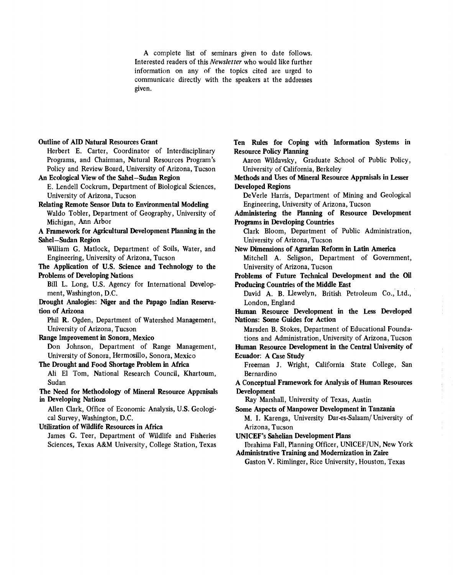A complete list of seminars given to date follows. Interested readers of this Newsletter who would like further information on any of the topics cited are urged to communicate directly with the speakers at the addresses given.

#### Outline of AID Natural Resources Grant

Herbert E. Carter, Coordinator of Interdisciplinary Programs, and Chairman, Natural Resources Program's Policy and Review Board, University of Arizona, Tucson

An Ecological View of the Sahel-Sudan Region

E. Lendell Cockrum, Department of Biological Sciences, University of Arizona, Tucson

Relating Remote Sensor Data to Environmental Modeling Waldo Tobler, Department of Geography, University of Michigan, Ann Arbor

A Framework for Agricultural Development Planning in the Sahel-Sudan Region

William G. Matlock, Department of Soils, Water, and Engineering, University of Arizona, Tucson

The Application of U.S. Science and Technology to the Problems of Developing Nations

Bill L. Long, U.S. Agency for International Development, Washington, D.C.

Drought Analogies: Niger and the Papago Indian Reservation of Arizona

Phil R. Ogden, Department of Watershed Management, University of Arizona, Tucson

#### Range Improvement in Sonora, Mexico

Don Johnson, Department of Range Management, University of Sonora, Hermosillo, Sonora, Mexico

#### The Drought and Food Shortage Problem in Africa

Ali El Tom, National Research Council, Khartoum, Sudan

The Need for Methodology of Mineral Resource Appraisals in Developing Nations

Allen Clark, Office of Economic Analysis, U.S. Geological Survey, Washington, D.C.

Utilization of Wildlife Resources in Africa James G. Teer, Department of Wildlife and Fisheries

Sciences, Texas A&M University, College Station, Texas

Ten Rules for Coping with Information Systems in Resource Policy Planning

Aaron Wildaysky, Graduate School of Public Policy, University of California, Berkeley

Methods and Uses of Mineral Resource Appraisals in Lesser Developed Regions

DeVerle Harris, Department of Mining and Geological Engineering, University of Arizona, Tucson

Administering the Planning of Resource Development Programs in Developing Countries

Clark Bloom, Department of Public Administration, University of Arizona, Tucson

New Dimensions of Agrarian Reform in Latin America

Mitchell A. Seligson, Department of Government, University of Arizona, Tucson

Problems of Future Technical Development and the Oil Producing Countries of the Middle East

David A. B. Llewelyn, British Petroleum Co., Ltd., London, England

Human Resource Development in the Less Developed Nations: Some Guides for Action

Marsden B. Stokes, Department of Educational Foundations and Administration, University of Arizona, Tucson

Human Resource Development in the Central University of Ecuador: A Case Study

Freeman J. Wright, California State College, San Bernardino

A Conceptual Framework for Analysis of Human Resources Development

Ray Marshall, University of Texas, Austin

Some Aspects of Manpower Development in Tanzania M. I. Karenga, University Dar-es-Salaam/ University of Arizona, Tucson

UNICEF's Sahelian Development Plans

Ibrahima Fall, Planning Officer, UNICEF /UN, New York Administrative Training and Modernization in Zaire

Gaston V. Rimlinger, Rice University, Houston, Texas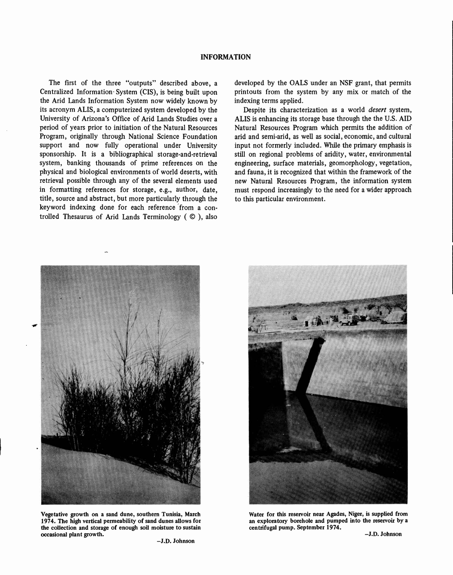#### INFORMATION

The first of the three "outputs" described above, a Centralized Information- System (CIS), is being built upon the Arid Lands Information System now widely known by its acronym ALIS, a computerized system developed by the University of Arizona's Office of Arid Lands Studies over a period of years prior to initiation of the Natural Resources Program, originally through National Science Foundation support and now fully operational under University sponsorship. It is a bibliographical storage-and-retrieval system, banking thousands of prime references on the physical and biological environments of world deserts, with retrieval possible through any of the several elements used in formatting references for storage, e.g., author, date, title, source and abstract, but more particularly through the keyword indexing done for each reference from a controlled Thesaurus of Arid Lands Terminology (© ), also

developed by the OALS under an NSF grant, that permits printouts from the system by any mix or match of the indexing terms applied.

Despite its characterization as a world desert system, ALIS is enhancing its storage base through the the U.S. AID Natural Resources Program which permits the addition of arid and semi-arid, as well as social, economic, and cultural input not formerly included. While the primary emphasis is still on regional problems of aridity, water, environmental engineering, surface materials, geomorphology, vegetation, and fauna, it is recognized that within the framework of the new Natural Resources Program, the information system must respond increasingly to the need for a wider approach to this particular environment.



Vegetative growth on a sand dune, southern Tunisia, March 1974. The high vertical permeability of sand dunes allows for the collection and storage of enough soil moisture to sustain occasional plant growth.



Water for this reservoir near Agades, Niger, is supplied from an exploratory borehole and pumped into the reservoir by a centrifugal pump. September 1974.

-J.D. Johnson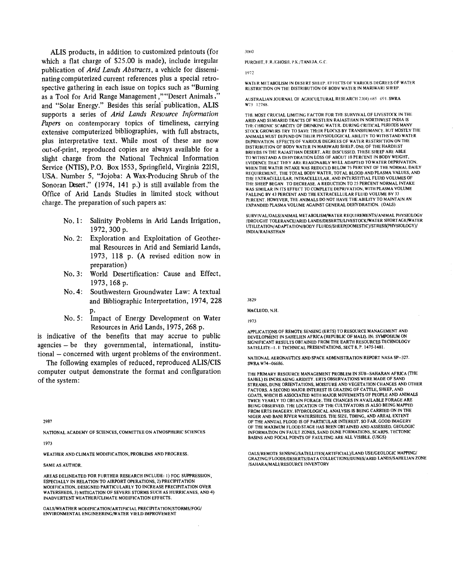ALIS products, in addition to customized printouts (for which a flat charge of \$25.00 is made), include irregular publication of Arid Lands Abstracts, a vehicle for disseminating computerized current references plus a special retrospective gathering in each issue on topics such as "Burning as a Tool for Arid Range Management," "Desert Animals," and "Solar Energy." Besides this serial publication, ALIS supports a series of Arid Lands Resource Information Papers on contemporary topics of timeliness, carrying extensive computerized bibliographies, with full abstracts, plus interpretative text. While most of these are now out-of-print, reproduced copies are always available for a slight charge from the National Technical Information Service (NTIS), P.O. Box 1553, Springfield, Virginia 22151, USA. Number 5, "Jojoba: A Wax-Producing Shrub of the Sonoran Desert," (1974, 141 p.) is still available from the Office of Arid Lands Studies in limited stock without charge. The preparation of such papers as:

- No. 1: Salinity Problems in Arid Lands Irrigation, 1972, 300 p.
- No. 2: Exploration and Exploitation of Geothermal Resources in Arid and Semiarid Lands, 1973, 118 p. (A revised edition now in preparation)
- No. 3: World Desertification: Cause and Effect, 1973, 168 p.
- No. 4: Southwestern Groundwater Law: A textual and Bibliographic Interpretation, 1974, 228
- P. No. 5: Impact of Energy Development on Water Resources in Arid Lands, 1975, 268 p.

is indicative of the benefits that may accrue to public agencies - be they governmental, international, institutional – concerned with urgent problems of the environment.

The following examples of reduced, reproduced ALIS/CIS computer output demonstrate the format and configuration of the system:

2987

NATIONAL ACADEMY OF SCIENCES, COMMITTEE ON ATMOSPHERIC SCIENCES

1973

WEATHER AND CLIMATE MODIFICATION, PROBLEMS AND PROGRESS.

#### SAME AS AUTHOR.

AREAS DELINEATED FOR FURTHER RESEARCH INCLUDE: 1) FOG SUPPRESSION, ESPECIALLY IN RELATION TO AIRPORT OPERATIONS, 2) PRECIPITATION MODIFICATION, DESIGNED PARTICULARLY TO INCREASE PRECIPITATION OVER WATERSHEDS, 3) MITIGATION OF SEVERE STORMS SUCH AS HURRICANES, AND 4) INADVERTENT WEATHER /CLIMATE MODIFICATION EFFECTS.

OALS/WEATHER MODIFICATION/ARTIFICIAL PRECIPITATION/STORMS/FOG/ ENVIRONMENTAL ENGINEERING/WATER YIELD IMPROVEMENT

3060

PUROHIT, F.R./GHOSIL, P.K./TANEJA, G.C.

1972

WATER METABOLISM IN DESERT SHEEP, EFFECTS OF VARIOUS DEGREES OF WATER RESTRICTION ON THE DISTRIBUTION OF BODY WATER IN MARIWARI SHEEP.

AUSTRALIAN JOURNAL OF AGRICULTURAL RESEARCH 23(4):685 691. SWRA W73 12788

THE MOST CRUCIAL LIMITING FACTOR FOR THE SURVIVAL OF LIVESTOCK IN THE ARID AND SEMIARID TRACTS OF WESTERN RAJASTHAN IN NORTHWEST INDIA IS THE CHRONIC SCARCITY OF DRINKING WATER. DURING CRITICAL PERIODS MANY STOCK GROWERS TRY TO SAVE THEIR FLOCKS BY TRANSHUMANCE, BUT MOSTLY THE ANIMALS MUST DEPEND ON THEIR PHYSIOLOGICAL ABILITY TO WITHSTAND WATER DEPRIVATION. EFFECTS OF VARIOUS DEGREES OF WATER RESTRICTION ON THE DISTRIBUTION OF BODY WATER IN MARIWARI SHEEP, ONE OF THE HARDIEST BREEDS IN THE RAJASTHAN DESERT, ARE DISCUSSED. THESE SHEEP ARE ABLE TO WITHSTAND A DEHYDRATION LOSS OF ABOUT 18 PERCENT IN BODY WEIGHT, EVIDENCE THAT THEY ARE REASONABLY WELL ADAPTED TO WATER DEPRIVATION. WHEN THE WATER INTAKE WAS REDUCED BELOW 75 PERCENT OF THE NORMAL DAILY REQUIREMENT, THE TOTAL BODY WATER, TOTAL BLOOD AND PLASMA VALUES, AND THE EXTRACELLULAR, INTRACELLULAR, AND INTERSTITIAL FLUID VOLUMES OF THE SHEEP BEGAN TO DECREASE. A REDUCTION TO 25 PERCENT NORMAL INTAKE WAS SIMILAR IN ITS EFFECT TO COMPLETE DEPRIVATION, WITH PLASMA VOLUME FALLING BY 43 PERCENT AND THE EXTRACELLULAR FLUID VOLUME BY 33 PERCENT. HOWEVER, THE ANIMALS DO NOT HAVE THE ABILITY TO MAINTAIN AN EXPANDED PLASMA VOLUME AGAINST GENERAL DEHYDRATION. (OALS)

SURVIVAL/OALS/ANIMAL METABOLISM/WATER REQUIREMENTS/ANIMAL PHYSIOLOGY /DROUGHT TOLERANCE /ARID LANDS /DESERTS /LIVESTOCK/WATER SHORTAGE/WATER UTILIZATION /ADAPTATION /BODY FLUIDS / SHEEP (DOMESTIC) /STRESS(PHYSIOLOGY) / INDIA /RAJASTHAN-

3829

MACLEOD, N.H.

1973

APPLICATIONS OF REMOTE SENSING (ERTS) TO RESOURCE MANAGEMENT AND DEVELOPMENT IN SAHELIEN AFRICA (REPUBLIC OF MALI). IN: SYMPOSIUM ON SIGNIFICANT RESULTS OBTAINED FROM THE EARTH RESOURCES TECHNOLOGY SATELLITE-1. I: TECHNICAL PRESENTATIONS, SECT 8, P. 1475-1481.

NATIONAL AERONAUTICS AND SPACE ADMINISTRATION REPORT NASA SP-327. SWRA W74-06686.

THE PRIMARY RESOURCE MANAGEMENT PROBLEM IN SUB -SAHARAN AFRICA (THE SAHEL) IS INCREASING ARIDITY. ERTS OBSERVATIONS WERE MADE OF SAND STREAMS, DUNE ORIENTATIONS, MOISTURE AND VEGETATION CHANGES AND OTHER FACTORS. A SECOND MAJOR INTEREST IS GRAZING OF CATTLE, SHEEP, AND GOATS, WHICH IS ASSOCIATED WITH MAJOR MOVEMENTS OF PEOPLE AND ANIMALS TWICE YEARLY TO OBTAIN FORAGE. THE CHANGES IN AVAILABLE FORAGE ARE BEING OBSERVED. THE LOCATION OF THE CULTIVATORS IS ALSO BEING MAPPED FROM ERTS IMAGERY. HYDROLOGICAL ANALYSIS IS BEING CARRIED ON IN THE NIGER AND BANI RIVER WATERSHEDS. THE SIZE, TIMING, AND AREAL EXTENT OF THE ANNUAL FLOOD IS OF PARTICULAR INTEREST. SO FAR, GOOD IMAGERY OF THE MAXIMUM FLOOD STAGE HAS BEEN OBTAINED AND ASSESSED. GEOLOGIC INFORMATION ON FAULT ZONES, SAND DUNE FORMATIONS, SCARPS, TECTONIC BASINS AND FOCAL POINTS OF FAULTING ARE ALL VISIBLE. (USGS)

OALS/REMOTE SENSING/SATELLITES(ARTIFICIAL)/LAND USE/GEOLOGIC MAPPING/ GRAZING /FLOODS /DESERTS /DATA COLLECTIONS /DUNES /ARID LANDS /SAHELIAN ZONE /SAHARA /MALI /RESOURCE INVENTORY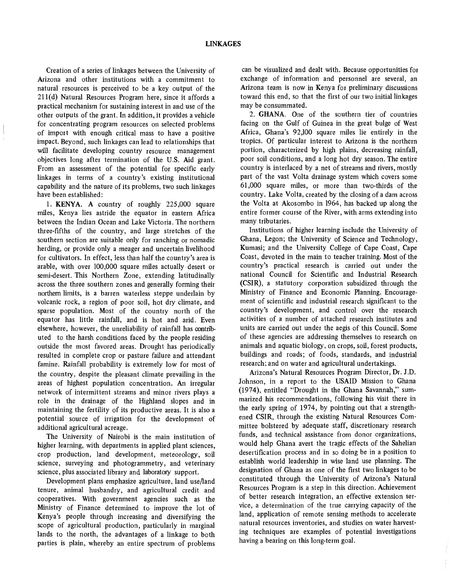Creation of a series of linkages between the University of Arizona and other institutions with a commitment to natural resources is perceived to be a key output of the 211(d) Natural Resources Program here, since it affords a practical mechanism for sustaining interest in and use of the other outputs of the grant. In addition, it provides a vehicle for concentrating program resources on selected problems of import with enough critical mass to have a positive impact. Beyond, such linkages can lead to relationships that will facilitate developing country resource management objectives long after termination of the U.S. Aid grant. From an assessment of the potential for specific early linkages in terms of a country's existing institutional capability and the nature of its problems, two such linkages have been established:

1. KENYA. A country of roughly 225,000 square miles, Kenya lies astride the equator in eastern Africa between the Indian Ocean and Lake Victoria. The northern three -fifths of the country, and large stretches of the southern section are suitable only for ranching or nomadic herding, or provide only a meager and uncertain livelihood for cultivators. In effect, less than half the country's area is arable, with over 100,000 square miles actually desert or semi-desert. This Northern Zone, extending latitudinally across the three southern zones and generally forming their northern limits, is a barren waterless steppe underlain by volcanic rock, a region of poor soil, hot dry climate, and sparse population. Most of the country north of the equator has little rainfall, and is hot and arid. Even elsewhere, however, the unreliability of rainfall has contributed to the harsh conditions faced by the people residing outside the most favored areas. Drought has periodically resulted in complete crop or pasture failure and attendant famine. Rainfall probability is extremely low for most of the country, despite the pleasant climate prevailing in the areas of highest population concentration. An irregular network of intermittent streams and minor rivers plays a role in the drainage of the Highland slopes and in maintaining the fertility of its productive areas. It is also a potential source of irrigation for the development of additional agricultural acreage.

The University of Nairobi is the main institution of higher learning, with departments in applied plant sciences, crop production, land development, meteorology, soil science, surveying and photogrammetry, and veterinary science, plus associated library and laboratory support.

Development plans emphasize agriculture, land use/land tenure, animal husbandry, and agricultural credit and cooperatives. With government agencies such as the Ministry of Finance determined to improve the lot of Kenya's people through increasing and diversifying the scope of agricultural production, particularly in marginal lands to the north, the advantages of a linkage to both parties is plain, whereby an entire spectrum of problems

can be visualized and dealt with. Because opportunities for exchange of information and personnel are several, an Arizona team is now in Kenya for preliminary discussions toward this end, so that the first of our two initial linkages may be consummated.

2. GHANA. One of the southern tier of countries facing on the Gulf of Guinea in the great bulge of West Africa, Ghana's 92,100 square miles lie entirely in the tropics. Of particular interest to Arizona is the northern portion, characterized by high plains, decreasing rainfall, poor soil conditions, and a long hot dry season. The entire country is interlaced by a net of streams and rivers, mostly part of the vast Volta drainage system which covers some 61,000 square miles, or more than two -thirds of the country. Lake Volta, created by the closing of a dam across the Volta at Akosombo in 1964, has backed up along the entire former course of the River, with arms extending into many tributaries.

Institutions of higher learning include the University of Ghana, Legon; the University of Science and Technology, Kumasi; and the University College of Cape Coast, Cape Coast, devoted in the main to teacher training. Most of the country's practical research is carried out under the national Council for Scientific and Industrial Research (CSIR), a statutory corporation subsidized through the Ministry of Finance and Economic Planning. Encouragement of scientific and industrial research significant to the country's development, and control over the research activities of a number of attached research institutes and units are carried out under the aegis of this Council. Some of these agencies are addressing themselves to research on animals and aquatic biology, on crops, soil, forest products, buildings and roads; of foods, standards, and industrial research; and on water and agricultural undertakings.

Arizona's Natural Resources Program Director, Dr. J.D. Johnson, in a report to the USAID Mission to Ghana (1974), entitled "Drought in the Ghana Savannah," summarized his recommendations, following his visit there in the early spring of 1974, by pointing out that a strengthened CSIR, through the existing Natural Resources Committee bolstered by adequate staff, discretionary research funds, and technical assistance from donor organizations, would help Ghana avert the tragic effects of the Sahelian desertification process and in so doing be in a position to establish world leadership in wise land use planning. The designation of Ghana as one of the first two linkages to be constituted through the University of Arizona's Natural Resources Program is a step in this direction. Achievement of better research integration, an effective extension service, a determination of the true carrying capacity of the land, application of remote sensing methods to accelerate natural resources inventories, and studies on water harvesting techniques are examples of potential investigations having a bearing on this long-term goal.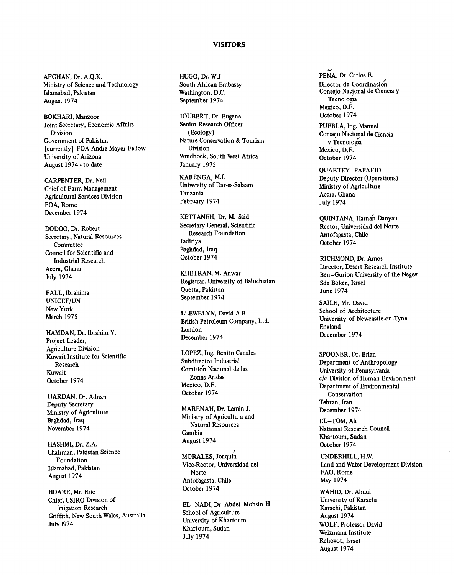#### VISITORS

AFGHAN, Dr. A.Q.K. Ministry of Science and Technology Islamabad, Pakistan August 1974

BOKHARI, Manzoor Joint Secretary, Economic Affairs Division Government of Pakistan [currently] FOA Andre-Mayer Fellow University of Arizona August 1974 - to date

CARPENTER, Dr. Neil Chief of Farm Management Agricultural Services Division FOA, Rome December 1974

DODOO, Dr. Robert Secretary, Natural Resources Committee Council for Scientific and Industrial Research Accra, Ghana July 1974

FALL, Ibrahima UNICEF/UN New York March 1975

HAMDAN, Dr. Ibrahim Y. Project Leader, Agriculture Division Kuwait Institute for Scientific Research Kuwait October 1974

HARDAN, Dr. Adnan Deputy Secretary Ministry of Agriculture Baghdad, Iraq November 1974

HASHMI, Dr. Z.A. Chairman, Pakistan Science Foundation Islamabad, Pakistan August 1974

HOARE, Mr. Eric Chief, CSIRO Division of Irrigation Research Griffith, New South Wales, Australia July 1974

HUGO, Dr. W.J. South African Embassy Washington, D.C. September 1974

JOUBERT, Dr. Eugene Senior Research Officer (Ecology) Nature Conservation & Tourism Division Windhoek, South West Africa January 1975

KARENGA, M.I. University of Dar-es-Salaam Tanzania February 1974

KETTANEH, Dr. M. Said Secretary General, Scientific Research Foundation Jadiriya Baghdad, Iraq October 1974

KHETRAN, M. Anwar Registrar, University of Baluchistan Quetta, Pakistan September 1974

LLEWELYN, David A.B. British Petroleum Company, Ltd. London December 1974

LOPEZ, Ing. Benito Canales Subdirector Industrial Comisión Nacional de las Zonas Aridas Mexico, D.F. October 1974

MARENAH, Dr. Lamin J. Ministry of Agricultura and Natural Resources Gambia August 1974

MORALES, Joaquin Vice -Rector, Universidad del Norte Antofagasta, Chile October 1974

EL-NADI, Dr. Abdel Mohsin H School of Agriculture University of Khartoum Khartoum, Sudan July 1974

PENA. Dr. Carlos E. Director de Coordinación Consejo Nacional de Ciencia y Tecnologia Mexico, D.F. October 1974

PUEBLA, Ing. Manuel Consejo Nacional de Ciencia y Tecnologia Mexico, D.F. October 1974

QUARTEY- PAPAFIO Deputy Director (Operations) Ministry of Agriculture Accra, Ghana July 1974

QUINTANA, Harnan Danyau Rector, Universidad del Norte Antofagasta, Chile October 1974

RICHMOND, Dr. Amos Director, Desert Research Institute Ben-Gurion University of the Negev Sde Boker, Israel June 1974

SAILE, Mr. David School of Architecture University of Newcastle -on -Tyne England December 1974

SPOONER, Dr. Brian Department of Anthropology University of Pennsylvania c/o Division of Human Environment Department of Environmental Conservation Tehran, Iran December 1974

EL-TOM, Ali National Research Council Khartoum, Sudan October 1974

UNDERHILL, H.W. Land and Water Development Division FAO, Rome May 1974

WAHID, Dr. Abdul University of Karachi Karachi, Pakistan August 1974 WOLF, Professor David Weizmann Institute Rehovot, Israel August 1974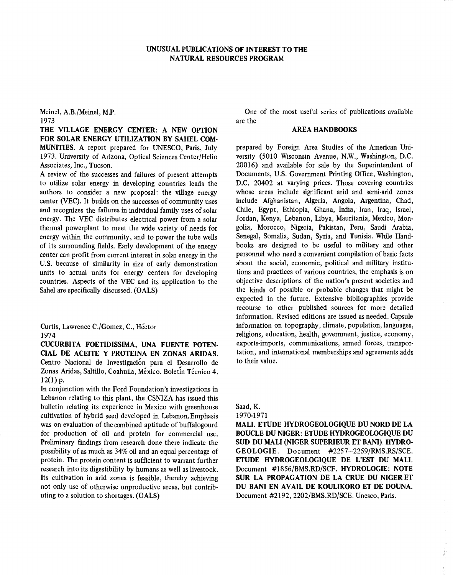### UNUSUAL PUBLICATIONS OF INTEREST TO THE NATURAL RESOURCES PROGRAM

Meinel, A.B./Meinel, M.P.

### 1973

THE VILLAGE ENERGY CENTER: A NEW OPTION FOR SOLAR ENERGY UTILIZATION BY SAHEL COM-MUNITIES. A report prepared for UNESCO, Paris, July 1973. University of Arizona, Optical Sciences Center/Helio Associates, Inc., Tucson.

A review of the successes and failures of present attempts to utilize solar energy in developing countries leads the authors to consider a new proposal: the village energy center (VEC). It builds on the successes of community uses and recognizes the failures in individual family uses of solar energy. The VEC distributes electrical power from a solar thermal powerplant to meet the wide variety of needs for energy within the community, and to power the tube wells of its surrounding fields. Early development of the energy center can profit from current interest in solar energy in the U.S. because of similarity in size of early demonstration units to actual units for energy centers for developing countries. Aspects of the VEC and its application to the Sahel are specifically discussed. (OALS)

Curtis, Lawrence C./Gomez, C., Héctor 1974

CUCURBITA FOETIDISSIMA, UNA FUENTE POTEN-CIAL DE ACEITE Y PROTEINA EN ZONAS ARIDAS. Centro Nacional de Investigación para el Desarrollo de Zonas Aridas, Saltillo, Coahuila, México. Boletín Técnico 4.  $12(1)$  p.

In conjunction with the Ford Foundation's investigations in Lebanon relating to this plant, the CSNIZA has issued this bulletin relating its experience in Mexico with greenhouse cultivation of hybrid seed developed in Lebanon.Emphasis was on evaluation of the combined aptitude of buffalogourd for production of oil and protein for commercial use. Preliminary findings from research done there indicate the possibility of as much as 34% oil and an equal percentage of protein. The protein content is sufficient to warrant further research into its digestibility by humans as well as livestock. Its cultivation in arid zones is feasible, thereby achieving not only use of otherwise unproductive areas, but contributing to a solution to shortages. (OALS)

One of the most useful series of publications available are the

### AREA HANDBOOKS

prepared by Foreign Area Studies of the American University (5010 Wisconsin Avenue, N.W., Washington, D.C. 20016) and available for sale by the Superintendent of Documents, U.S. Government Printing Office, Washington, D.C. 20402 at varying prices. Those covering countries whose areas include significant arid and semi-arid zones include Afghanistan, Algeria, Angola, Argentina, Chad, Chile, Egypt, Ethiopia, Ghana, India, Iran, Iraq, Israel, Jordan, Kenya, Lebanon, Libya, Mauritania, Mexico, Mongolia, Morocco, Nigeria, Pakistan, Peru, Saudi Arabia, Senegal, Somalia, Sudan, Syria, and Tunisia. While Handbooks are designed to be useful to military and other personnel who need a convenient compilation of basic facts about the social, economic, political and military institutions and practices of various countries, the emphasis is on objective descriptions of the nation's present societies and the kinds of possible or probable changes that might be expected in the future. Extensive bibliographies provide recourse to other published sources for more detailed information. Revised editions are issued as needed. Capsule information on topography, climate, population, languages, religions, education, health, government, justice, economy, exports-imports, communications, armed forces, transportation, and international memberships and agreements adds to their value.

Saad, K. 1970 -1971

MALI. ETUDE HYDROGEOLOGIQUE DU NORD DE LA BOUCLE DU NIGER: ETUDE HYDROGEOLOGIQUE DU SUD DU MALI (NIGER SUPERIEUR ET BANI). HYDRO-GEOLOGIE. Document #2257-2259/RMS.RS/SCE. ETUDE HYDROGEOLOGIQUE DE L'EST DU MALI. Document #1856/BMS.RD/SCF. HYDROLOGIE: NOTE SUR LA PROPAGATION DE LA CRUE DU NIGER ET DU BANI EN AVAIL DE KOULIKORO ET DE DOUNA. Document #2192, 2202/BMS.RD/SCE. Unesco, Paris.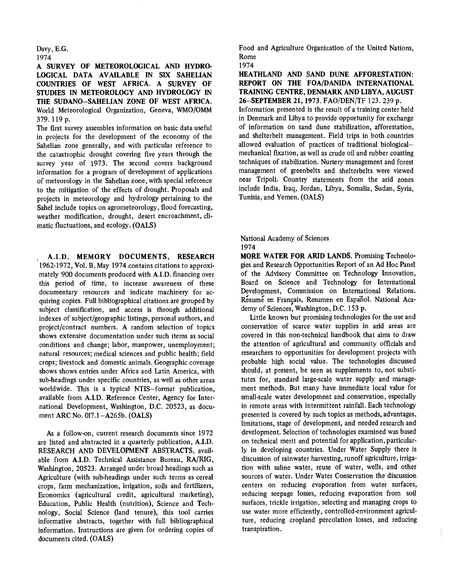#### Davy, E.G. 1974

A SURVEY OF METEOROLOGICAL AND HYDRO-LOGICAL DATA AVAILABLE IN SIX SAHELIAN COUNTRIES OF WEST AFRICA. A SURVEY OF STUDIES IN METEOROLOGY AND HYDROLOGY IN THE SUDANO-SAHELIAN ZONE OF WEST AFRICA. World Meteorological Organization, Geneva, WMO/OMM 379. 119 p.

The first survey assembles information on basic data useful in projects for the development of the economy of the Sahelian zone generally, and with particular reference to the catastrophic drought covering five years through the survey year of 1973. The second covers background information for a program of development of applications of meteorology in the Sahelian zone, with special reference to the mitigation of the effects of drought. Proposals and projects in meteorology and hydrology pertaining to the Sahel include topics on agrometeorology, flood forecasting, weather modification, drought, desert encroachment, climatic fluctuations, and ecology. (OALS)

A.I.D. MEMORY DOCUMENTS, RESEARCH 1962 -1972, Vol. B, May 1974 contains citations to approximately 900 documents produced with A.I.D. financing over this period of time, to increase awareness of these documentary resources and indicate machinery for acquiring copies. Full bibliographical citations are grouped by subject classification, and access is through additional indexes of subject /geographic listings, personal authors, and project/contract numbers. A random selection of topics shows extensive documentation under such items as social conditions and change; labor, manpower, unemployment; natural resources; medical sciences and public health; field crops; livestock and domestic animals. Geographic coverage shows shows entries under Africa and Latin America, with sub -headings under specific countries, as well as other areas worldwide. This is a typical NTIS-format publication, available from A.I.D. Reference Center, Agency for International Development, Washington, D.C. 20523, as document ARC No. 017.1-A265b. (OALS)

As a follow-on, current research documents since 1972 are listed and abstracted in a quarterly publication, A.I.D. RESEARCH AND DEVELOPMENT ABSTRACTS, available from A.I.D. Technical Assistance Bureau, RA/RIG, Washington, 20523. Arranged under broad headings such as Agriculture (with sub -headings under such terms as cereal crops, farm mechanization, irrigation, soils and fertilizers, Economics (agricultural credit, agricultural marketing), Education, Public Health (nutrition), Science and Technology, Social Science (land tenure), this tool carries informative abstracts, together with full bibliographical information. Instructions are given for ordering copies of documents cited. (OALS)

Food and Agriculture Organization of the United Nations, Rome 1974

HEATHLAND AND SAND DUNE AFFORESTATION: REPORT ON THE FOA/DANIDA INTERNATIONAL TRAINING CENTRE, DENMARK AND LIBYA, AUGUST 26-SEPTEMBER 21, 1973. FAO/DEN/TF 123. 239 p. Information presented is the result of a training center held in Denmark and Libya to provide opportunity for exchange of information on sand dune stabilization, afforestation, and shelterbelt management. Field trips in both countries allowed evaluation of practices of traditional biologicalmechanical fixation, as well as crude oil and rubber coasting techniques of stabilization. Nursery management and forest management of greenbelts and shelterbelts were viewed near Tripoli. Country statements from the arid zones include India, Iraq, Jordan, Libya, Somalia, Sudan, Syria, Tunisia, and Yemen. (OALS)

National Academy of Sciences 1974

MORE WATER FOR ARID LANDS. Promising Technologies and Research Opportunities Report of an Ad Hoc Panel of the Advisory Committee on Technology Innovation, Board on Science and Technology for International Development, Commission on International Relations. Résumé en Français, Resumen en Español. National Academy of Sciences, Washington, D.C. 153 p.

Little known but promising technologies for the use and conservation of scarce water supplies in arid areas are covered in this non -technical handbook that aims to draw the attention of agricultural and community officials and researchers to opportunities for development projects with probable high social value. The technologies discussed should, at present, be seen as supplements to, not substitutes for, standard large-scale water supply and management methods. But many have immediate local value for small-scale water development and conservation, especially in remote areas with intermittent rainfall. Each technology presented is covered by such topics as methods, advantages, limitations, stage of development, and needed research and development. Selection of technologies examined was based on technical merit and potential for application, particularly in developing countries. Under Water Supply there is discussion of rainwater harvesting, runoff agriculture, irrigation with saline water, reuse of water, wells, and other sources of water. Under Water Conservation the discussion centers on reducing evaporation from water surfaces, reducing seepage losses, reducing evaporation from soil surfaces, trickle irrigation, selecting and managing crops to use water more efficiently, controlled-environment agriculture, reducing cropland percolation losses, and reducing transpiration.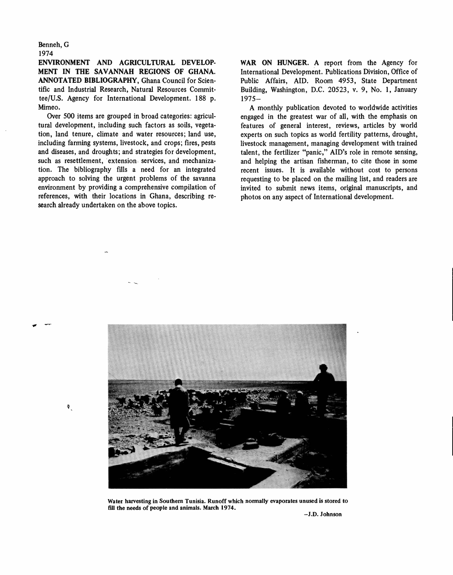Benneh, G 1974

 $\P$ 

ENVIRONMENT AND AGRICULTURAL DEVELOP-MENT IN THE SAVANNAH REGIONS OF GHANA. ANNOTATED BIBLIOGRAPHY, Ghana Council for Scientific and Industrial Research, Natural Resources Committee/U.S. Agency for International Development. 188 p. Mimeo.

Over 500 items are grouped in broad categories: agricultural development, including such factors as soils, vegetation, land tenure, climate and water resources; land use, including farming systems, livestock, and crops; fires, pests and diseases, and droughts; and strategies for development, such as resettlement, extension services, and mechanization. The bibliography fills a need for an integrated approach to solving the urgent problems of the savanna environment by providing a comprehensive compilation of references, with their locations in Ghana, describing research already undertaken on the above topics.

WAR ON HUNGER. A report from the Agency for International Development. Publications Division, Office of Public Affairs, AID. Room 4953, State Department Building, Washington, D.C. 20523, v. 9, No. 1, January  $1975 -$ 

A monthly publication devoted to worldwide activities engaged in the greatest war of all, with the emphasis on features of general interest, reviews, articles by world experts on such topics as world fertility patterns, drought, livestock management, managing development with trained talent, the fertilizer "panic," AID's role in remote sensing, and helping the artisan fisherman, to cite those in some recent issues. It is available without cost to persons requesting to be placed on the mailing list, and readers are invited to submit news items, original manuscripts, and photos on any aspect of International development.



Water harvesting in Southern Tunisia. Runoff which normally evaporates unused is stored to fill the needs of people and animals. March 1974.

-J.D. Johnson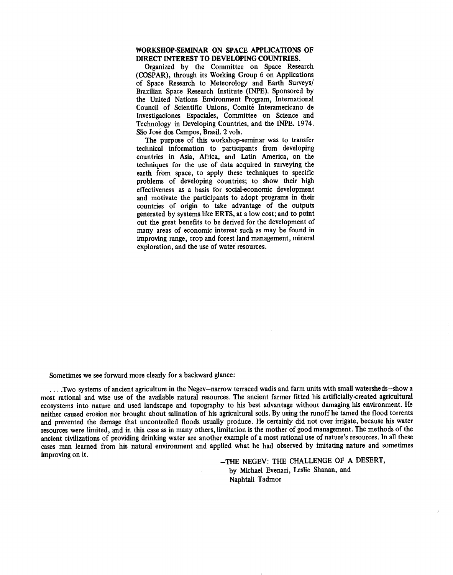#### WORKSHOP -SEMINAR ON SPACE APPLICATIONS OF DIRECT INTEREST TO DEVELOPING COUNTRIES.

Organized by the Committee on Space Research (COSPAR), through its Working Group 6 on Applications of Space Research to Meteorology and Earth Surveys/ Brazilian Space Research Institute (INPE). Sponsored by the United Nations Environment Program, International Council of Scientific Unions, Comité Interamericano de Investigaciones Espaciales, Committee on Science and Technology in Developing Countries, and the INPE. 1974. São José dos Campos, Brasil. 2 vols.

The purpose of this workshop-seminar was to transfer technical information to participants from developing countries in Asia, Africa, and Latin America, on the techniques for the use of data acquired in surveying the earth from space, to apply these techniques to specific problems of developing countries; to show their high effectiveness as a basis for social-economic development and motivate the participants to adopt programs in their countries of origin to take advantage of the outputs generated by systems like ERTS, at a low cost; and to point out the great benefits to be derived for the development of many areas of economic interest such as may be found in improving range, crop and forest land management, mineral exploration, and the use of water resources.

Sometimes we see forward more clearly for a backward glance:

....Two systems of ancient agriculture in the Negev-narrow terraced wadis and farm units with small watersheds-show a most rational and wise use of the available natural resources. The ancient farmer fitted his artificially -created agricultural ecosystems into nature and used landscape and topography to his best advantage without damaging his environment. He neither caused erosion nor brought about salination of his agricultural soils. By using the runoff he tamed the flood torrents and prevented the damage that uncontrolled floods usually produce. He certainly did not over irrigate, because his water resources were limited, and in this case as in many others, limitation is the mother of good management. The methods of the ancient civilizations of providing drinking water are another example of a most rational use of nature's resources. In all these cases man learned from his natural environment and applied what he had observed by imitating nature and sometimes improving on it.<br>-THE NEGEV: THE CHALLENGE OF A DESERT,

by Michael Evenari, Leslie Shanan, and Naphtali Tadmor